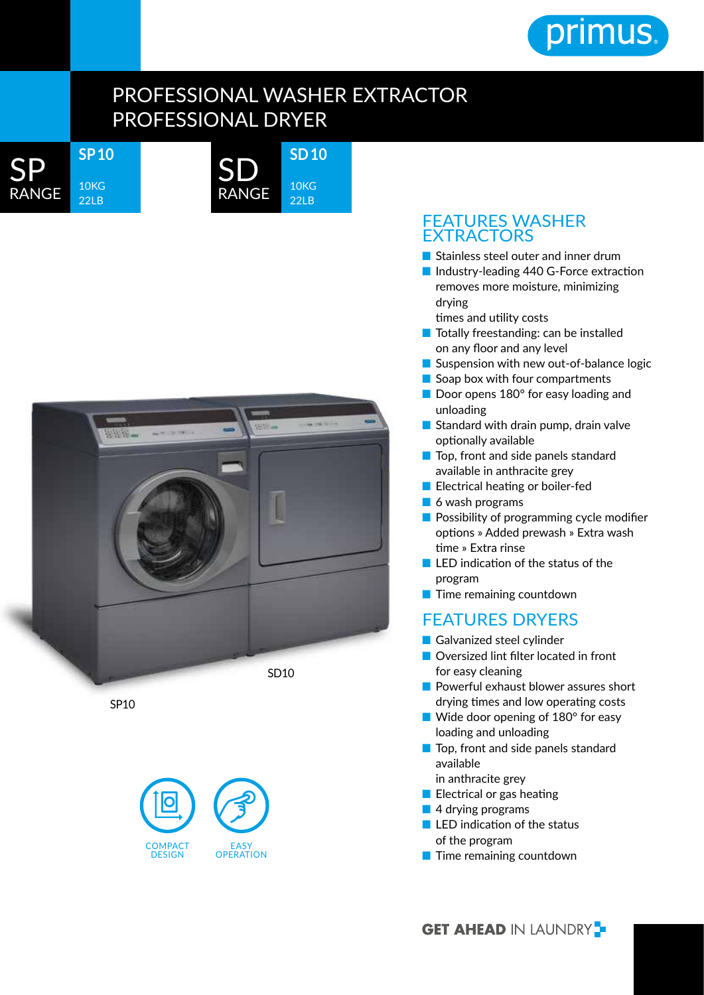

## PROFESSIONAL WASHER EXTRACTOR PROFESSIONAL DRYER

**SD 10**

10KG 22LB

SP RANGE **SP 10**

10KG 22LB





SP10



## FEATURES WASHER EXTRACTORS

- Stainless steel outer and inner drum
- Industry-leading 440 G-Force extraction removes more moisture, minimizing drying times and utility costs
- Totally freestanding: can be installed on any floor and any level
- Suspension with new out-of-balance logic
- Soap box with four compartments
- Door opens 180° for easy loading and unloading
- Standard with drain pump, drain valve optionally available
- Top, front and side panels standard available in anthracite grey
- Electrical heating or boiler-fed
- 6 wash programs
- Possibility of programming cycle modifier options » Added prewash » Extra wash time » Extra rinse
- LED indication of the status of the program
- Time remaining countdown

## FEATURES DRYERS

- Galvanized steel cylinder
- Oversized lint filter located in front for easy cleaning
- Powerful exhaust blower assures short drying times and low operating costs
- Wide door opening of 180° for easy loading and unloading
- Top, front and side panels standard available
	- in anthracite grey
- Electrical or gas heating
- 4 drving programs
- LED indication of the status of the program
- Time remaining countdown

**GET AHEAD IN LAUNDRY**